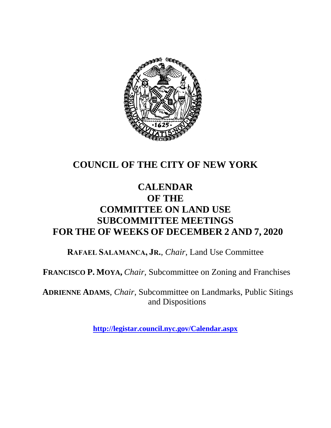

## **COUNCIL OF THE CITY OF NEW YORK**

## **CALENDAR OF THE COMMITTEE ON LAND USE SUBCOMMITTEE MEETINGS FOR THE OF WEEKS OF DECEMBER 2 AND 7, 2020**

**RAFAEL SALAMANCA, JR.**, *Chair*, Land Use Committee

**FRANCISCO P. MOYA,** *Chair,* Subcommittee on Zoning and Franchises

**ADRIENNE ADAMS**, *Chair*, Subcommittee on Landmarks, Public Sitings and Dispositions

**<http://legistar.council.nyc.gov/Calendar.aspx>**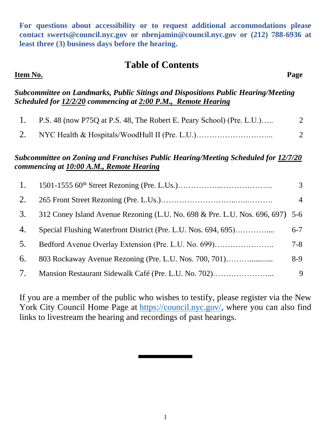**For questions about accessibility or to request additional accommodations please contact [swerts@council.nyc.gov](mailto:swerts@council.nyc.gov) or [nbenjamin@council.nyc.gov](mailto:nbenjamin@council.nyc.gov) or (212) 788-6936 at least three (3) business days before the hearing.**

#### **Table of Contents**

#### **Item No. Page**

#### *Subcommittee on Landmarks, Public Sitings and Dispositions Public Hearing/Meeting Scheduled for 12/2/20 commencing at 2:00 P.M., Remote Hearing*

| P.S. 48 (now P75Q at P.S. 48, The Robert E. Peary School) (Pre. L.U.) |  |
|-----------------------------------------------------------------------|--|
|                                                                       |  |

#### *Subcommittee on Zoning and Franchises Public Hearing/Meeting Scheduled for 12/7/20 commencing at 10:00 A.M., Remote Hearing*

| 1. |                                                                               | 3              |
|----|-------------------------------------------------------------------------------|----------------|
| 2. |                                                                               | $\overline{4}$ |
| 3. | 312 Coney Island Avenue Rezoning (L.U. No. 698 & Pre. L.U. Nos. 696, 697) 5-6 |                |
| 4. | Special Flushing Waterfront District (Pre. L.U. Nos. 694, 695)                | $6 - 7$        |
| 5. | Bedford Avenue Overlay Extension (Pre. L.U. No. 699)                          | $7 - 8$        |
| 6. | 803 Rockaway Avenue Rezoning (Pre. L.U. Nos. 700, 701)                        | $8-9$          |
| 7. |                                                                               | 9              |

If you are a member of the public who wishes to testify, please register via the New York City Council Home Page at [https://council.nyc.gov/,](https://council.nyc.gov/) where you can also find links to livestream the hearing and recordings of past hearings.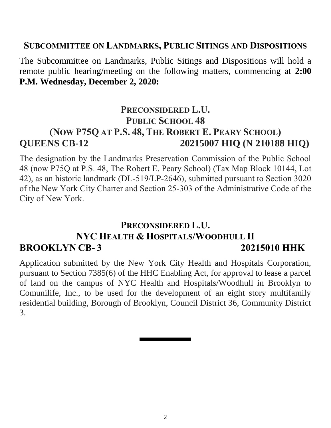#### **SUBCOMMITTEE ON LANDMARKS, PUBLIC SITINGS AND DISPOSITIONS**

The Subcommittee on Landmarks, Public Sitings and Dispositions will hold a remote public hearing/meeting on the following matters, commencing at **2:00 P.M. Wednesday, December 2, 2020:**

### **PRECONSIDERED L.U. PUBLIC SCHOOL 48 (NOW P75Q AT P.S. 48, THE ROBERT E. PEARY SCHOOL) QUEENS CB-12 20215007 HIQ (N 210188 HIQ)**

The designation by the Landmarks Preservation Commission of the Public School 48 (now P75Q at P.S. 48, The Robert E. Peary School) (Tax Map Block 10144, Lot 42), as an historic landmark (DL-519/LP-2646), submitted pursuant to Section 3020 of the New York City Charter and Section 25-303 of the Administrative Code of the City of New York.

### **PRECONSIDERED L.U. NYC HEALTH & HOSPITALS/WOODHULL II BROOKLYN CB- 3 20215010 HHK**

Application submitted by the New York City Health and Hospitals Corporation, pursuant to Section 7385(6) of the HHC Enabling Act, for approval to lease a parcel of land on the campus of NYC Health and Hospitals/Woodhull in Brooklyn to Comunilife, Inc., to be used for the development of an eight story multifamily residential building, Borough of Brooklyn, Council District 36, Community District 3.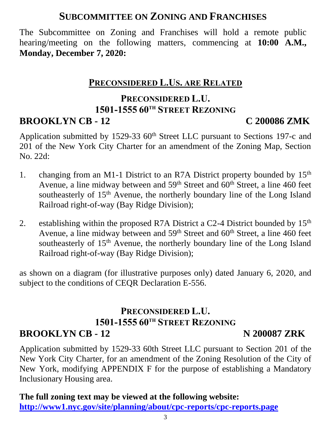## **SUBCOMMITTEE ON ZONING AND FRANCHISES**

The Subcommittee on Zoning and Franchises will hold a remote public hearing/meeting on the following matters, commencing at **10:00 A.M., Monday, December 7, 2020:**

### **PRECONSIDERED L.US. ARE RELATED**

#### **PRECONSIDERED L.U. 1501-1555 60TH STREET REZONING BROOKLYN CB - 12 C 200086 ZMK**

Application submitted by 1529-33  $60<sup>th</sup>$  Street LLC pursuant to Sections 197-c and 201 of the New York City Charter for an amendment of the Zoning Map, Section No. 22d:

- 1. changing from an M1-1 District to an R7A District property bounded by 15<sup>th</sup> Avenue, a line midway between and  $59<sup>th</sup>$  Street and  $60<sup>th</sup>$  Street, a line 460 feet southeasterly of 15<sup>th</sup> Avenue, the northerly boundary line of the Long Island Railroad right-of-way (Bay Ridge Division);
- 2. establishing within the proposed R7A District a C2-4 District bounded by  $15<sup>th</sup>$ Avenue, a line midway between and 59<sup>th</sup> Street and 60<sup>th</sup> Street, a line 460 feet southeasterly of 15<sup>th</sup> Avenue, the northerly boundary line of the Long Island Railroad right-of-way (Bay Ridge Division);

as shown on a diagram (for illustrative purposes only) dated January 6, 2020, and subject to the conditions of CEQR Declaration E-556.

#### **PRECONSIDERED L.U. 1501-1555 60TH STREET REZONING BROOKLYN CB - 12 N 200087 ZRK**

Application submitted by 1529-33 60th Street LLC pursuant to Section 201 of the New York City Charter, for an amendment of the Zoning Resolution of the City of New York, modifying APPENDIX F for the purpose of establishing a Mandatory Inclusionary Housing area.

#### **The full zoning text may be viewed at the following website: <http://www1.nyc.gov/site/planning/about/cpc-reports/cpc-reports.page>**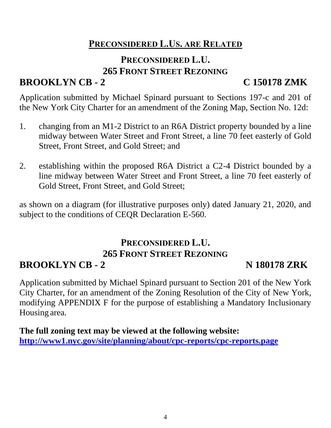## **PRECONSIDERED L.US. ARE RELATED**

## **PRECONSIDERED L.U. 265 FRONT STREET REZONING**

# **BROOKLYN CB - 2 C 150178 ZMK**

Application submitted by Michael Spinard pursuant to Sections 197-c and 201 of the New York City Charter for an amendment of the Zoning Map, Section No. 12d:

- 1. changing from an M1-2 District to an R6A District property bounded by a line midway between Water Street and Front Street, a line 70 feet easterly of Gold Street, Front Street, and Gold Street; and
- 2. establishing within the proposed R6A District a C2-4 District bounded by a line midway between Water Street and Front Street, a line 70 feet easterly of Gold Street, Front Street, and Gold Street;

as shown on a diagram (for illustrative purposes only) dated January 21, 2020, and subject to the conditions of CEQR Declaration E-560.

# **PRECONSIDERED L.U. 265 FRONT STREET REZONING**

# **BROOKLYN CB - 2 N 180178 ZRK**

Application submitted by Michael Spinard pursuant to Section 201 of the New York City Charter, for an amendment of the Zoning Resolution of the City of New York, modifying APPENDIX F for the purpose of establishing a Mandatory Inclusionary Housing area.

**The full zoning text may be viewed at the following website: <http://www1.nyc.gov/site/planning/about/cpc-reports/cpc-reports.page>**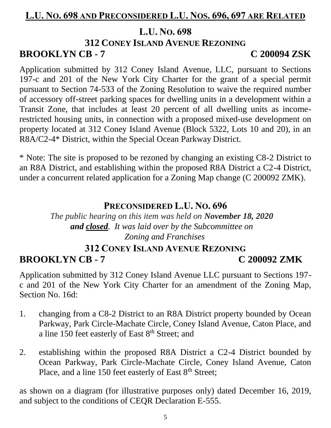### **L.U. NO. 698 AND PRECONSIDERED L.U. NOS. 696, 697 ARE RELATED**

#### **L.U. NO. 698**

### **312 CONEY ISLAND AVENUE REZONING**

# **BROOKLYN CB - 7 C 200094 ZSK**

Application submitted by 312 Coney Island Avenue, LLC, pursuant to Sections 197-c and 201 of the New York City Charter for the grant of a special permit pursuant to Section 74-533 of the Zoning Resolution to waive the required number of accessory off-street parking spaces for dwelling units in a development within a Transit Zone, that includes at least 20 percent of all dwelling units as incomerestricted housing units, in connection with a proposed mixed-use development on property located at 312 Coney Island Avenue (Block 5322, Lots 10 and 20), in an R8A/C2-4\* District, within the Special Ocean Parkway District.

\* Note: The site is proposed to be rezoned by changing an existing C8-2 District to an R8A District, and establishing within the proposed R8A District a C2-4 District, under a concurrent related application for a Zoning Map change (C 200092 ZMK).

#### **PRECONSIDERED L.U. NO. 696**

*The public hearing on this item was held on November 18, 2020 and closed. It was laid over by the Subcommittee on Zoning and Franchises*

#### **312 CONEY ISLAND AVENUE REZONING BROOKLYN CB - 7 C 200092 ZMK**

Application submitted by 312 Coney Island Avenue LLC pursuant to Sections 197 c and 201 of the New York City Charter for an amendment of the Zoning Map, Section No. 16d:

- 1. changing from a C8-2 District to an R8A District property bounded by Ocean Parkway, Park Circle-Machate Circle, Coney Island Avenue, Caton Place, and a line 150 feet easterly of East 8<sup>th</sup> Street; and
- 2. establishing within the proposed R8A District a C2-4 District bounded by Ocean Parkway, Park Circle-Machate Circle, Coney Island Avenue, Caton Place, and a line 150 feet easterly of East  $8<sup>th</sup>$  Street;

as shown on a diagram (for illustrative purposes only) dated December 16, 2019, and subject to the conditions of CEQR Declaration E-555.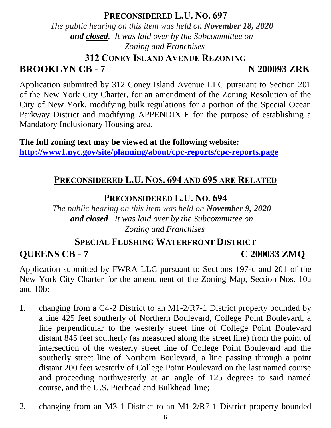#### **PRECONSIDERED L.U. NO. 697**

*The public hearing on this item was held on November 18, 2020 and closed. It was laid over by the Subcommittee on Zoning and Franchises*

**312 CONEY ISLAND AVENUE REZONING**

**BROOKLYN CB - 7 N 200093 ZRK**

Application submitted by 312 Coney Island Avenue LLC pursuant to Section 201 of the New York City Charter, for an amendment of the Zoning Resolution of the City of New York, modifying bulk regulations for a portion of the Special Ocean Parkway District and modifying APPENDIX F for the purpose of establishing a Mandatory Inclusionary Housing area.

**The full zoning text may be viewed at the following website: <http://www1.nyc.gov/site/planning/about/cpc-reports/cpc-reports.page>**

## **PRECONSIDERED L.U. NOS. 694 AND 695 ARE RELATED**

#### **PRECONSIDERED L.U. NO. 694**

*The public hearing on this item was held on November 9, 2020 and closed. It was laid over by the Subcommittee on Zoning and Franchises*

# **SPECIAL FLUSHING WATERFRONT DISTRICT QUEENS CB - 7 C 200033 ZMQ**

Application submitted by FWRA LLC pursuant to Sections 197-c and 201 of the New York City Charter for the amendment of the Zoning Map, Section Nos. 10a and 10b:

- 1. changing from a C4-2 District to an M1-2/R7-1 District property bounded by a line 425 feet southerly of Northern Boulevard, College Point Boulevard, a line perpendicular to the westerly street line of College Point Boulevard distant 845 feet southerly (as measured along the street line) from the point of intersection of the westerly street line of College Point Boulevard and the southerly street line of Northern Boulevard, a line passing through a point distant 200 feet westerly of College Point Boulevard on the last named course and proceeding northwesterly at an angle of 125 degrees to said named course, and the U.S. Pierhead and Bulkhead line;
- 2. changing from an M3-1 District to an M1-2/R7-1 District property bounded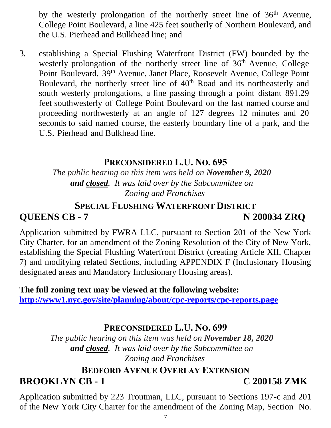by the westerly prolongation of the northerly street line of  $36<sup>th</sup>$  Avenue, College Point Boulevard, a line 425 feet southerly of Northern Boulevard, and the U.S. Pierhead and Bulkhead line; and

3. establishing a Special Flushing Waterfront District (FW) bounded by the westerly prolongation of the northerly street line of 36<sup>th</sup> Avenue, College Point Boulevard, 39th Avenue, Janet Place, Roosevelt Avenue, College Point Boulevard, the northerly street line of 40<sup>th</sup> Road and its northeasterly and south westerly prolongations, a line passing through a point distant 891.29 feet southwesterly of College Point Boulevard on the last named course and proceeding northwesterly at an angle of 127 degrees 12 minutes and 20 seconds to said named course, the easterly boundary line of a park, and the U.S. Pierhead and Bulkhead line.

#### **PRECONSIDERED L.U. NO. 695**

*The public hearing on this item was held on November 9, 2020 and closed. It was laid over by the Subcommittee on Zoning and Franchises*

#### **SPECIAL FLUSHING WATERFRONT DISTRICT QUEENS CB - 7 N 200034 ZRQ**

Application submitted by FWRA LLC, pursuant to Section 201 of the New York City Charter, for an amendment of the Zoning Resolution of the City of New York, establishing the Special Flushing Waterfront District (creating Article XII, Chapter 7) and modifying related Sections, including APPENDIX F (Inclusionary Housing designated areas and Mandatory Inclusionary Housing areas).

**The full zoning text may be viewed at the following website: <http://www1.nyc.gov/site/planning/about/cpc-reports/cpc-reports.page>**

#### **PRECONSIDERED L.U. NO. 699**

*The public hearing on this item was held on November 18, 2020 and closed. It was laid over by the Subcommittee on Zoning and Franchises*

## **BEDFORD AVENUE OVERLAY EXTENSION BROOKLYN CB - 1 C 200158 ZMK**

Application submitted by 223 Troutman, LLC, pursuant to Sections 197-c and 201 of the New York City Charter for the amendment of the Zoning Map, Section No.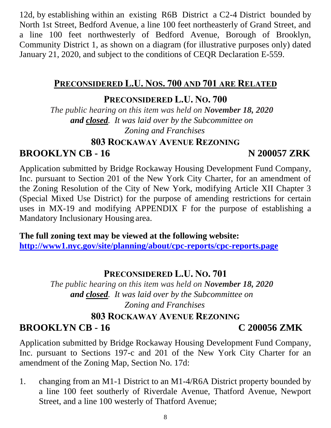12d, by establishing within an existing R6B District a C2-4 District bounded by North 1st Street, Bedford Avenue, a line 100 feet northeasterly of Grand Street, and a line 100 feet northwesterly of Bedford Avenue, Borough of Brooklyn, Community District 1, as shown on a diagram (for illustrative purposes only) dated January 21, 2020, and subject to the conditions of CEQR Declaration E-559.

## **PRECONSIDERED L.U. NOS. 700 AND 701 ARE RELATED**

#### **PRECONSIDERED L.U. NO. 700**

*The public hearing on this item was held on November 18, 2020 and closed. It was laid over by the Subcommittee on Zoning and Franchises*

#### **803 ROCKAWAY AVENUE REZONING**

## **BROOKLYN CB - 16 N 200057 ZRK**

Application submitted by Bridge Rockaway Housing Development Fund Company, Inc. pursuant to Section 201 of the New York City Charter, for an amendment of the Zoning Resolution of the City of New York, modifying Article XII Chapter 3 (Special Mixed Use District) for the purpose of amending restrictions for certain uses in MX-19 and modifying APPENDIX F for the purpose of establishing a Mandatory Inclusionary Housing area.

**The full zoning text may be viewed at the following website: <http://www1.nyc.gov/site/planning/about/cpc-reports/cpc-reports.page>**

### **PRECONSIDERED L.U. NO. 701**

*The public hearing on this item was held on November 18, 2020 and closed. It was laid over by the Subcommittee on Zoning and Franchises*

## **803 ROCKAWAY AVENUE REZONING BROOKLYN CB - 16 C 200056 ZMK**

Application submitted by Bridge Rockaway Housing Development Fund Company, Inc. pursuant to Sections 197-c and 201 of the New York City Charter for an amendment of the Zoning Map, Section No. 17d:

1. changing from an M1-1 District to an M1-4/R6A District property bounded by a line 100 feet southerly of Riverdale Avenue, Thatford Avenue, Newport Street, and a line 100 westerly of Thatford Avenue;

8